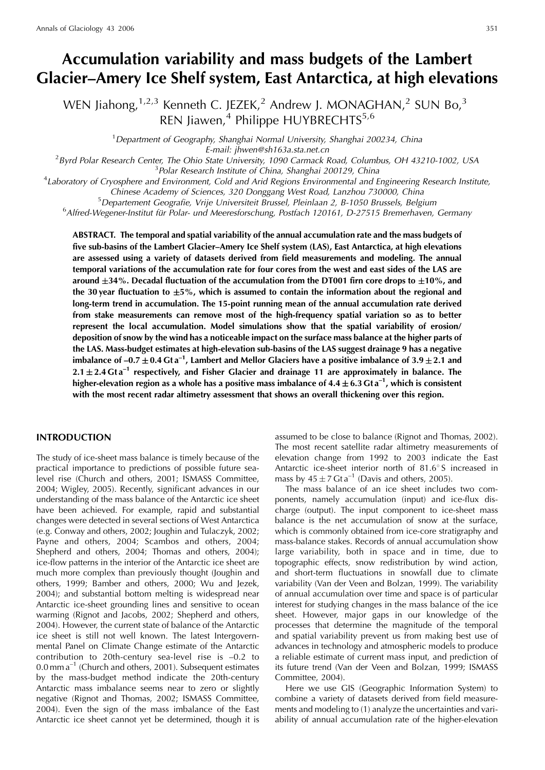# **Accumulation variability and mass budgets of the Lambert Glacier–Amery Ice Shelf system, East Antarctica, at high elevations**

WEN Jiahong,  $1,2,3$  Kenneth C. JEZEK, <sup>2</sup> Andrew J. MONAGHAN, <sup>2</sup> SUN Bo, <sup>3</sup> REN Jiawen,<sup>4</sup> Philippe HUYBRECHTS<sup>5,6</sup>

<sup>1</sup> Department of Geography, Shanghai Normal University, Shanghai 200234, China E-mail: jhwen@sh163a.sta.net.cn<br><sup>2</sup> Byrd Polar Research Center. The Obje State University, 1090 Carmack I

Byrd Polar Research Center, The Ohio State University, 1090 Carmack Road, Columbus, OH 43210-1002, USA<br><sup>3</sup> Polar Research Institute of China, Shanghai 200129, China

<sup>3</sup> Polar Research Institute of China, Shanghai 200129, China<br><sup>4</sup>Laboratory of Cryosphere and Environment, Cold and Arid Regions Environmental and Engineering Research Institute, Chinese Academy of Sciences, 320 Donggang West Road, Lanzhou 730000, China <sup>5</sup>

<sup>5</sup> Departement Geografie, Vrije Universiteit Brussel, Pleinlaan 2, B-1050 Brussels, Belgium

 $6$ Alfred-Wegener-Institut für Polar- und Meeresforschung, Postfach 120161, D-27515 Bremerhaven, Germany

**ABSTRACT. The temporal and spatial variability of the annual accumulation rate and the mass budgets of five sub-basins of the Lambert Glacier–Amery Ice Shelf system (LAS), East Antarctica, at high elevations are assessed using a variety of datasets derived from field measurements and modeling. The annual temporal variations of the accumulation rate for four cores from the west and east sides of the LAS are around 34%. Decadal fluctuation of the accumulation from the DT001 firn core drops to 10%, and the 30 year fluctuation to 5%, which is assumed to contain the information about the regional and long-term trend in accumulation. The 15-point running mean of the annual accumulation rate derived from stake measurements can remove most of the high-frequency spatial variation so as to better represent the local accumulation. Model simulations show that the spatial variability of erosion/ deposition of snow by the wind has a noticeable impact on the surface mass balance at the higher parts of the LAS. Mass-budget estimates at high-elevation sub-basins of the LAS suggest drainage 9 has a negative imbalance of –0.7**  $\pm$  0.4 Gt a<sup>-1</sup>, Lambert and Mellor Glaciers have a positive imbalance of 3.9  $\pm$  2.1 and **2.1 2.4 Gt a–1 respectively, and Fisher Glacier and drainage 11 are approximately in balance. The** higher-elevation region as a whole has a positive mass imbalance of  $4.4 \pm 6.3$  Gt a<sup>-1</sup>, which is consistent **with the most recent radar altimetry assessment that shows an overall thickening over this region.**

## **INTRODUCTION**

The study of ice-sheet mass balance is timely because of the practical importance to predictions of possible future sealevel rise (Church and others, 2001; ISMASS Committee, 2004; Wigley, 2005). Recently, significant advances in our understanding of the mass balance of the Antarctic ice sheet have been achieved. For example, rapid and substantial changes were detected in several sections of West Antarctica (e.g. Conway and others, 2002; Joughin and Tulaczyk, 2002; Payne and others, 2004; Scambos and others, 2004; Shepherd and others, 2004; Thomas and others, 2004); ice-flow patterns in the interior of the Antarctic ice sheet are much more complex than previously thought (Joughin and others, 1999; Bamber and others, 2000; Wu and Jezek, 2004); and substantial bottom melting is widespread near Antarctic ice-sheet grounding lines and sensitive to ocean warming (Rignot and Jacobs, 2002; Shepherd and others, 2004). However, the current state of balance of the Antarctic ice sheet is still not well known. The latest Intergovernmental Panel on Climate Change estimate of the Antarctic contribution to 20th-century sea-level rise is –0.2 to  $0.0$  mm  $a^{-1}$  (Church and others, 2001). Subsequent estimates by the mass-budget method indicate the 20th-century Antarctic mass imbalance seems near to zero or slightly negative (Rignot and Thomas, 2002; ISMASS Committee, 2004). Even the sign of the mass imbalance of the East Antarctic ice sheet cannot yet be determined, though it is assumed to be close to balance (Rignot and Thomas, 2002). The most recent satellite radar altimetry measurements of elevation change from 1992 to 2003 indicate the East Antarctic ice-sheet interior north of  $81.6^\circ$ S increased in mass by  $45 \pm 7$  Gt a<sup>-1</sup> (Davis and others, 2005).

The mass balance of an ice sheet includes two components, namely accumulation (input) and ice-flux discharge (output). The input component to ice-sheet mass balance is the net accumulation of snow at the surface, which is commonly obtained from ice-core stratigraphy and mass-balance stakes. Records of annual accumulation show large variability, both in space and in time, due to topographic effects, snow redistribution by wind action, and short-term fluctuations in snowfall due to climate variability (Van der Veen and Bolzan, 1999). The variability of annual accumulation over time and space is of particular interest for studying changes in the mass balance of the ice sheet. However, major gaps in our knowledge of the processes that determine the magnitude of the temporal and spatial variability prevent us from making best use of advances in technology and atmospheric models to produce a reliable estimate of current mass input, and prediction of its future trend (Van der Veen and Bolzan, 1999; ISMASS Committee, 2004).

Here we use GIS (Geographic Information System) to combine a variety of datasets derived from field measurements and modeling to (1) analyze the uncertainties and variability of annual accumulation rate of the higher-elevation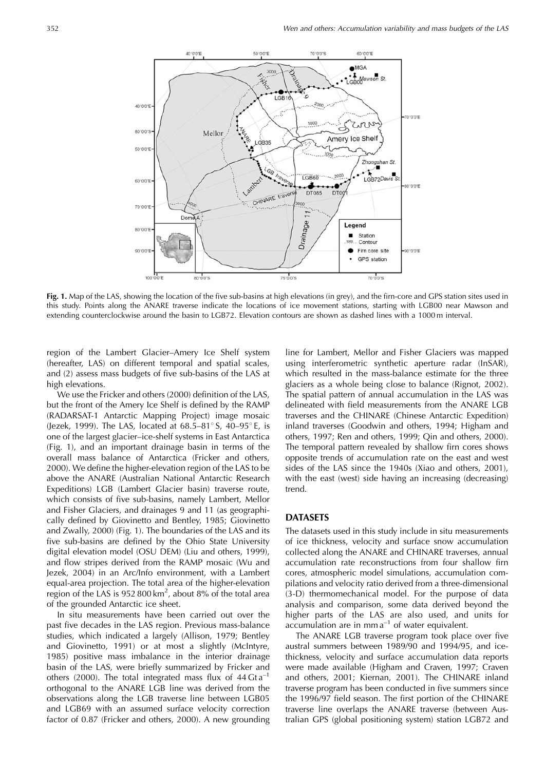

**Fig. 1.** Map of the LAS, showing the location of the five sub-basins at high elevations (in grey), and the firn-core and GPS station sites used in this study. Points along the ANARE traverse indicate the locations of ice movement stations, starting with LGB00 near Mawson and extending counterclockwise around the basin to LGB72. Elevation contours are shown as dashed lines with a 1000 m interval.

region of the Lambert Glacier–Amery Ice Shelf system (hereafter, LAS) on different temporal and spatial scales, and (2) assess mass budgets of five sub-basins of the LAS at high elevations.

We use the Fricker and others (2000) definition of the LAS, but the front of the Amery Ice Shelf is defined by the RAMP (RADARSAT-1 Antarctic Mapping Project) image mosaic (Jezek, 1999). The LAS, located at  $68.5-81^{\circ}$  S,  $40-95^{\circ}$  E, is one of the largest glacier–ice-shelf systems in East Antarctica (Fig. 1), and an important drainage basin in terms of the overall mass balance of Antarctica (Fricker and others, 2000). We define the higher-elevation region of the LAS to be above the ANARE (Australian National Antarctic Research Expeditions) LGB (Lambert Glacier basin) traverse route, which consists of five sub-basins, namely Lambert, Mellor and Fisher Glaciers, and drainages 9 and 11 (as geographically defined by Giovinetto and Bentley, 1985; Giovinetto and Zwally, 2000) (Fig. 1). The boundaries of the LAS and its five sub-basins are defined by the Ohio State University digital elevation model (OSU DEM) (Liu and others, 1999), and flow stripes derived from the RAMP mosaic (Wu and Jezek, 2004) in an Arc/Info environment, with a Lambert equal-area projection. The total area of the higher-elevation region of the LAS is 952 800 km<sup>2</sup>, about 8% of the total area of the grounded Antarctic ice sheet.

In situ measurements have been carried out over the past five decades in the LAS region. Previous mass-balance studies, which indicated a largely (Allison, 1979; Bentley and Giovinetto, 1991) or at most a slightly (McIntyre, 1985) positive mass imbalance in the interior drainage basin of the LAS, were briefly summarized by Fricker and others (2000). The total integrated mass flux of  $44 \text{ G} \text{t a}^{-1}$ orthogonal to the ANARE LGB line was derived from the observations along the LGB traverse line between LGB05 and LGB69 with an assumed surface velocity correction factor of 0.87 (Fricker and others, 2000). A new grounding

line for Lambert, Mellor and Fisher Glaciers was mapped using interferometric synthetic aperture radar (InSAR), which resulted in the mass-balance estimate for the three glaciers as a whole being close to balance (Rignot, 2002). The spatial pattern of annual accumulation in the LAS was delineated with field measurements from the ANARE LGB traverses and the CHINARE (Chinese Antarctic Expedition) inland traverses (Goodwin and others, 1994; Higham and others, 1997; Ren and others, 1999; Qin and others, 2000). The temporal pattern revealed by shallow firn cores shows opposite trends of accumulation rate on the east and west sides of the LAS since the 1940s (Xiao and others, 2001), with the east (west) side having an increasing (decreasing) trend.

#### **DATASETS**

The datasets used in this study include in situ measurements of ice thickness, velocity and surface snow accumulation collected along the ANARE and CHINARE traverses, annual accumulation rate reconstructions from four shallow firn cores, atmospheric model simulations, accumulation compilations and velocity ratio derived from a three-dimensional (3-D) thermomechanical model. For the purpose of data analysis and comparison, some data derived beyond the higher parts of the LAS are also used, and units for  $accumulation$  are in mm  $a^{-1}$  of water equivalent.

The ANARE LGB traverse program took place over five austral summers between 1989/90 and 1994/95, and icethickness, velocity and surface accumulation data reports were made available (Higham and Craven, 1997; Craven and others, 2001; Kiernan, 2001). The CHINARE inland traverse program has been conducted in five summers since the 1996/97 field season. The first portion of the CHINARE traverse line overlaps the ANARE traverse (between Australian GPS (global positioning system) station LGB72 and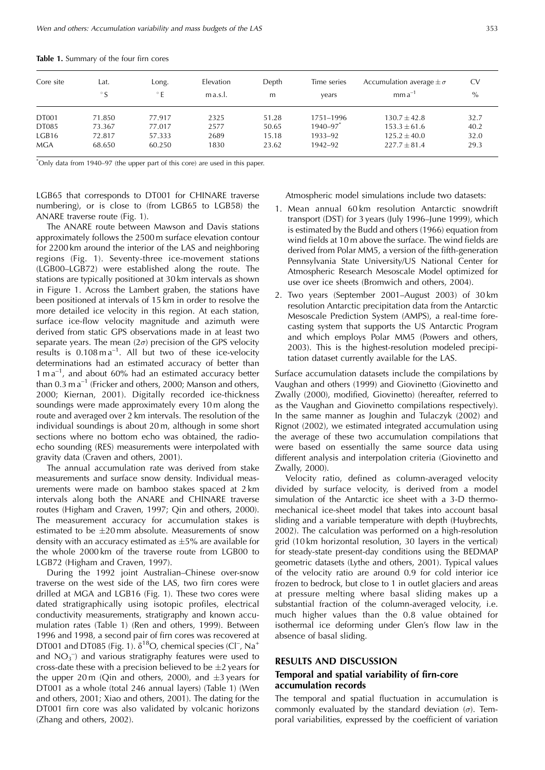| Core site    | Lat.<br>$\circ$ S | Long.<br>$^{\circ}$ E | Elevation<br>ma.s.l. | Depth<br>m | Time series<br>years     | Accumulation average $\pm \sigma$<br>$mma^{-1}$ | <b>CV</b><br>$\%$ |
|--------------|-------------------|-----------------------|----------------------|------------|--------------------------|-------------------------------------------------|-------------------|
| <b>DT001</b> | 71.850            | 77.917                | 2325                 | 51.28      | 1751-1996                | $130.7 \pm 42.8$                                | 32.7              |
| DT085        | 73.367            | 77.017                | 2577                 | 50.65      | $1940 - 97$ <sup>*</sup> | $153.3 \pm 61.6$                                | 40.2              |
| LGB16        | 72.817            | 57.333                | 2689                 | 15.18      | 1933-92                  | $125.2 \pm 40.0$                                | 32.0              |
| <b>MGA</b>   | 68.650            | 60.250                | 1830                 | 23.62      | 1942-92                  | $227.7 \pm 81.4$                                | 29.3              |

**Table 1.** Summary of the four firn cores

\* Only data from 1940–97 (the upper part of this core) are used in this paper.

LGB65 that corresponds to DT001 for CHINARE traverse numbering), or is close to (from LGB65 to LGB58) the ANARE traverse route (Fig. 1).

The ANARE route between Mawson and Davis stations approximately follows the 2500 m surface elevation contour for 2200 km around the interior of the LAS and neighboring regions (Fig. 1). Seventy-three ice-movement stations (LGB00–LGB72) were established along the route. The stations are typically positioned at 30 km intervals as shown in Figure 1. Across the Lambert graben, the stations have been positioned at intervals of 15 km in order to resolve the more detailed ice velocity in this region. At each station, surface ice-flow velocity magnitude and azimuth were derived from static GPS observations made in at least two separate years. The mean  $(2\sigma)$  precision of the GPS velocity results is  $0.108 \text{ m a}^{-1}$ . All but two of these ice-velocity determinations had an estimated accuracy of better than  $1 \text{ m a}^{-1}$ , and about 60% had an estimated accuracy better than  $0.3$  m  $a^{-1}$  (Fricker and others, 2000; Manson and others, 2000; Kiernan, 2001). Digitally recorded ice-thickness soundings were made approximately every 10 m along the route and averaged over 2 km intervals. The resolution of the individual soundings is about 20 m, although in some short sections where no bottom echo was obtained, the radioecho sounding (RES) measurements were interpolated with gravity data (Craven and others, 2001).

The annual accumulation rate was derived from stake measurements and surface snow density. Individual measurements were made on bamboo stakes spaced at 2 km intervals along both the ANARE and CHINARE traverse routes (Higham and Craven, 1997; Qin and others, 2000). The measurement accuracy for accumulation stakes is estimated to be  $\pm 20$  mm absolute. Measurements of snow density with an accuracy estimated as  $\pm 5%$  are available for the whole 2000 km of the traverse route from LGB00 to LGB72 (Higham and Craven, 1997).

During the 1992 joint Australian–Chinese over-snow traverse on the west side of the LAS, two firn cores were drilled at MGA and LGB16 (Fig. 1). These two cores were dated stratigraphically using isotopic profiles, electrical conductivity measurements, stratigraphy and known accumulation rates (Table 1) (Ren and others, 1999). Between 1996 and 1998, a second pair of firn cores was recovered at DT001 and DT085 (Fig. 1).  $\delta^{18}O$ , chemical species (Cl<sup>-</sup>, Na<sup>+</sup> and  $NO<sub>3</sub><sup>-</sup>$  and various stratigraphy features were used to cross-date these with a precision believed to be  $\pm 2$  years for the upper 20 m (Oin and others, 2000), and  $\pm 3$  years for DT001 as a whole (total 246 annual layers) (Table 1) (Wen and others, 2001; Xiao and others, 2001). The dating for the DT001 firn core was also validated by volcanic horizons (Zhang and others, 2002).

Atmospheric model simulations include two datasets:

- 1. Mean annual 60 km resolution Antarctic snowdrift transport (DST) for 3 years (July 1996–June 1999), which is estimated by the Budd and others (1966) equation from wind fields at 10 m above the surface. The wind fields are derived from Polar MM5, a version of the fifth-generation Pennsylvania State University/US National Center for Atmospheric Research Mesoscale Model optimized for use over ice sheets (Bromwich and others, 2004).
- 2. Two years (September 2001–August 2003) of 30 km resolution Antarctic precipitation data from the Antarctic Mesoscale Prediction System (AMPS), a real-time forecasting system that supports the US Antarctic Program and which employs Polar MM5 (Powers and others, 2003). This is the highest-resolution modeled precipitation dataset currently available for the LAS.

Surface accumulation datasets include the compilations by Vaughan and others (1999) and Giovinetto (Giovinetto and Zwally (2000), modified, Giovinetto) (hereafter, referred to as the Vaughan and Giovinetto compilations respectively). In the same manner as Joughin and Tulaczyk (2002) and Rignot (2002), we estimated integrated accumulation using the average of these two accumulation compilations that were based on essentially the same source data using different analysis and interpolation criteria (Giovinetto and Zwally, 2000).

Velocity ratio, defined as column-averaged velocity divided by surface velocity, is derived from a model simulation of the Antarctic ice sheet with a 3-D thermomechanical ice-sheet model that takes into account basal sliding and a variable temperature with depth (Huybrechts, 2002). The calculation was performed on a high-resolution grid (10 km horizontal resolution, 30 layers in the vertical) for steady-state present-day conditions using the BEDMAP geometric datasets (Lythe and others, 2001). Typical values of the velocity ratio are around 0.9 for cold interior ice frozen to bedrock, but close to 1 in outlet glaciers and areas at pressure melting where basal sliding makes up a substantial fraction of the column-averaged velocity, i.e. much higher values than the 0.8 value obtained for isothermal ice deforming under Glen's flow law in the absence of basal sliding.

#### **RESULTS AND DISCUSSION**

## **Temporal and spatial variability of firn-core accumulation records**

The temporal and spatial fluctuation in accumulation is commonly evaluated by the standard deviation  $(\sigma)$ . Temporal variabilities, expressed by the coefficient of variation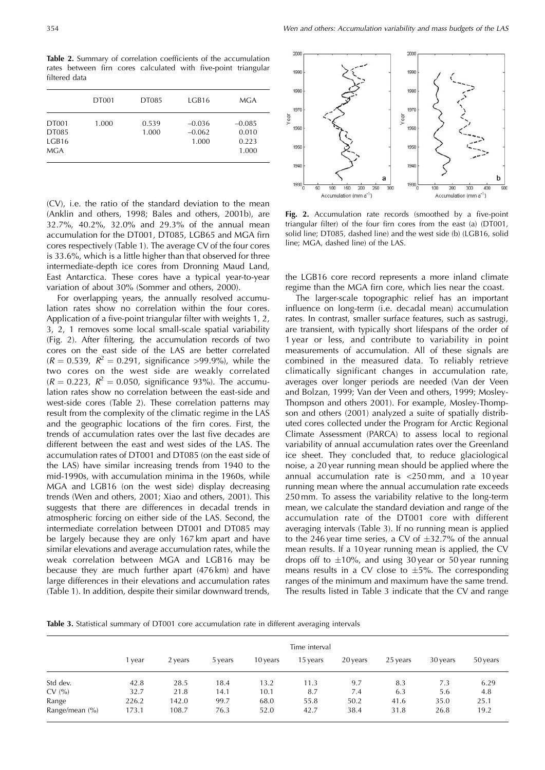**Table 2.** Summary of correlation coefficients of the accumulation rates between firn cores calculated with five-point triangular filtered data

|                                | <b>DT001</b> | DT085          | LGB16                         | MGA                                 |
|--------------------------------|--------------|----------------|-------------------------------|-------------------------------------|
| DT001<br>DT085<br>LGB16<br>MGA | 1.000        | 0.539<br>1.000 | $-0.036$<br>$-0.062$<br>1.000 | $-0.085$<br>0.010<br>0.223<br>1.000 |
|                                |              |                |                               |                                     |

(CV), i.e. the ratio of the standard deviation to the mean (Anklin and others, 1998; Bales and others, 2001b), are 32.7%, 40.2%, 32.0% and 29.3% of the annual mean accumulation for the DT001, DT085, LGB65 and MGA firn cores respectively (Table 1). The average CV of the four cores is 33.6%, which is a little higher than that observed for three intermediate-depth ice cores from Dronning Maud Land, East Antarctica. These cores have a typical year-to-year variation of about 30% (Sommer and others, 2000).

For overlapping years, the annually resolved accumulation rates show no correlation within the four cores. Application of a five-point triangular filter with weights 1, 2, 3, 2, 1 removes some local small-scale spatial variability (Fig. 2). After filtering, the accumulation records of two cores on the east side of the LAS are better correlated  $(R = 0.539, R^2 = 0.291,$  significance >99.9%), while the two cores on the west side are weakly correlated  $(R = 0.223, R^2 = 0.050,$  significance 93%). The accumulation rates show no correlation between the east-side and west-side cores (Table 2). These correlation patterns may result from the complexity of the climatic regime in the LAS and the geographic locations of the firn cores. First, the trends of accumulation rates over the last five decades are different between the east and west sides of the LAS. The accumulation rates of DT001 and DT085 (on the east side of the LAS) have similar increasing trends from 1940 to the mid-1990s, with accumulation minima in the 1960s, while MGA and LGB16 (on the west side) display decreasing trends (Wen and others, 2001; Xiao and others, 2001). This suggests that there are differences in decadal trends in atmospheric forcing on either side of the LAS. Second, the intermediate correlation between DT001 and DT085 may be largely because they are only 167 km apart and have similar elevations and average accumulation rates, while the weak correlation between MGA and LGB16 may be because they are much further apart (476 km) and have large differences in their elevations and accumulation rates (Table 1). In addition, despite their similar downward trends,



Fig. 2. Accumulation rate records (smoothed by a five-point triangular filter) of the four firn cores from the east (a) (DT001, solid line; DT085, dashed line) and the west side (b) (LGB16, solid line; MGA, dashed line) of the LAS.

the LGB16 core record represents a more inland climate regime than the MGA firn core, which lies near the coast.

The larger-scale topographic relief has an important influence on long-term (i.e. decadal mean) accumulation rates. In contrast, smaller surface features, such as sastrugi, are transient, with typically short lifespans of the order of 1 year or less, and contribute to variability in point measurements of accumulation. All of these signals are combined in the measured data. To reliably retrieve climatically significant changes in accumulation rate, averages over longer periods are needed (Van der Veen and Bolzan, 1999; Van der Veen and others, 1999; Mosley-Thompson and others 2001). For example, Mosley-Thompson and others (2001) analyzed a suite of spatially distributed cores collected under the Program for Arctic Regional Climate Assessment (PARCA) to assess local to regional variability of annual accumulation rates over the Greenland ice sheet. They concluded that, to reduce glaciological noise, a 20 year running mean should be applied where the annual accumulation rate is <250 mm, and a 10 year running mean where the annual accumulation rate exceeds 250 mm. To assess the variability relative to the long-term mean, we calculate the standard deviation and range of the accumulation rate of the DT001 core with different averaging intervals (Table 3). If no running mean is applied to the 246 year time series, a CV of  $\pm$ 32.7% of the annual mean results. If a 10 year running mean is applied, the CV drops off to  $\pm 10\%$ , and using 30 year or 50 year running means results in a CV close to  $\pm 5\%$ . The corresponding ranges of the minimum and maximum have the same trend. The results listed in Table 3 indicate that the CV and range

**Table 3.** Statistical summary of DT001 core accumulation rate in different averaging intervals

|                | Time interval |         |         |          |          |          |          |          |          |
|----------------|---------------|---------|---------|----------|----------|----------|----------|----------|----------|
|                | l vear        | 2 years | 5 years | 10 years | 15 years | 20 years | 25 years | 30 years | 50 years |
| Std dev.       | 42.8          | 28.5    | 18.4    | 13.2     | 11.3     | 9.7      | 8.3      | 7.3      | 6.29     |
| CV(%)          | 32.7          | 21.8    | 14.1    | 10.1     | 8.7      | 7.4      | 6.3      | 5.6      | 4.8      |
| Range          | 226.2         | 142.0   | 99.7    | 68.0     | 55.8     | 50.2     | 41.6     | 35.0     | 25.1     |
| Range/mean (%) | 173.1         | 108.7   | 76.3    | 52.0     | 42.7     | 38.4     | 31.8     | 26.8     | 19.2     |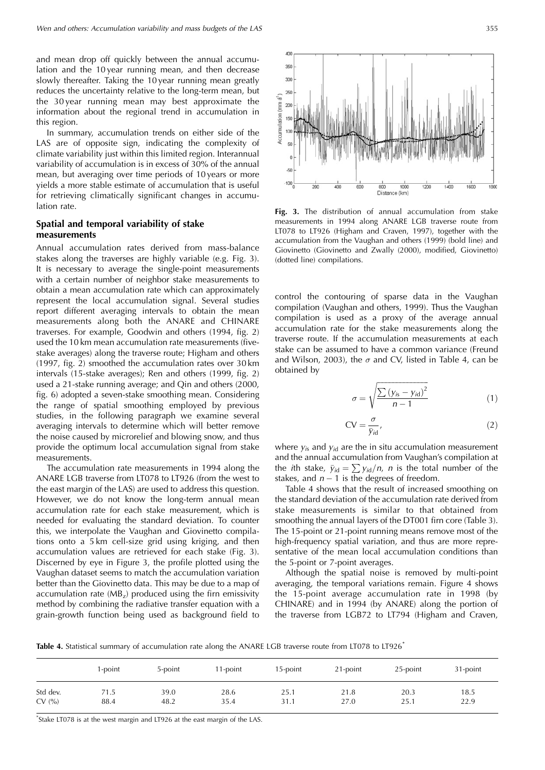and mean drop off quickly between the annual accumulation and the 10 year running mean, and then decrease slowly thereafter. Taking the 10 year running mean greatly reduces the uncertainty relative to the long-term mean, but the 30 year running mean may best approximate the information about the regional trend in accumulation in this region.

In summary, accumulation trends on either side of the LAS are of opposite sign, indicating the complexity of climate variability just within this limited region. Interannual variability of accumulation is in excess of 30% of the annual mean, but averaging over time periods of 10 years or more yields a more stable estimate of accumulation that is useful for retrieving climatically significant changes in accumulation rate.

## **Spatial and temporal variability of stake measurements**

Annual accumulation rates derived from mass-balance stakes along the traverses are highly variable (e.g. Fig. 3). It is necessary to average the single-point measurements with a certain number of neighbor stake measurements to obtain a mean accumulation rate which can approximately represent the local accumulation signal. Several studies report different averaging intervals to obtain the mean measurements along both the ANARE and CHINARE traverses. For example, Goodwin and others (1994, fig. 2) used the 10 km mean accumulation rate measurements (fivestake averages) along the traverse route; Higham and others (1997, fig. 2) smoothed the accumulation rates over 30 km intervals (15-stake averages); Ren and others (1999, fig. 2) used a 21-stake running average; and Qin and others (2000, fig. 6) adopted a seven-stake smoothing mean. Considering the range of spatial smoothing employed by previous studies, in the following paragraph we examine several averaging intervals to determine which will better remove the noise caused by microrelief and blowing snow, and thus provide the optimum local accumulation signal from stake measurements.

The accumulation rate measurements in 1994 along the ANARE LGB traverse from LT078 to LT926 (from the west to the east margin of the LAS) are used to address this question. However, we do not know the long-term annual mean accumulation rate for each stake measurement, which is needed for evaluating the standard deviation. To counter this, we interpolate the Vaughan and Giovinetto compilations onto a 5 km cell-size grid using kriging, and then accumulation values are retrieved for each stake (Fig. 3). Discerned by eye in Figure 3, the profile plotted using the Vaughan dataset seems to match the accumulation variation better than the Giovinetto data. This may be due to a map of accumulation rate  $(MB<sub>z</sub>)$  produced using the firn emissivity method by combining the radiative transfer equation with a grain-growth function being used as background field to



**Fig. 3.** The distribution of annual accumulation from stake measurements in 1994 along ANARE LGB traverse route from LT078 to LT926 (Higham and Craven, 1997), together with the accumulation from the Vaughan and others (1999) (bold line) and Giovinetto (Giovinetto and Zwally (2000), modified, Giovinetto) (dotted line) compilations.

control the contouring of sparse data in the Vaughan compilation (Vaughan and others, 1999). Thus the Vaughan compilation is used as a proxy of the average annual accumulation rate for the stake measurements along the traverse route. If the accumulation measurements at each stake can be assumed to have a common variance (Freund and Wilson, 2003), the  $\sigma$  and CV, listed in Table 4, can be obtained by

$$
\sigma = \sqrt{\frac{\sum (y_{is} - y_{id})^2}{n - 1}} \tag{1}
$$

$$
CV = \frac{\sigma}{\bar{y}_{id}},\tag{2}
$$

where  $y_{is}$  and  $y_{id}$  are the in situ accumulation measurement and the annual accumulation from Vaughan's compilation at the *i*th stake,  $\bar{y}_{id} = \sum y_{id}/n$ , *n* is the total number of the stakes, and  $n-1$  is the degrees of freedom.

Table 4 shows that the result of increased smoothing on the standard deviation of the accumulation rate derived from stake measurements is similar to that obtained from smoothing the annual layers of the DT001 firn core (Table 3). The 15-point or 21-point running means remove most of the high-frequency spatial variation, and thus are more representative of the mean local accumulation conditions than the 5-point or 7-point averages.

Although the spatial noise is removed by multi-point averaging, the temporal variations remain. Figure 4 shows the 15-point average accumulation rate in 1998 (by CHINARE) and in 1994 (by ANARE) along the portion of the traverse from LGB72 to LT794 (Higham and Craven,

**Table 4.** Statistical summary of accumulation rate along the ANARE LGB traverse route from LT078 to LT926\*

|          | l-point | 5-point | l 1-point | 15-point | 21-point | 25-point | 31-point |
|----------|---------|---------|-----------|----------|----------|----------|----------|
| Std dev. | 71.5    | 39.0    | 28.6      | 25.1     | 21.8     | 20.3     | 18.5     |
| CV(%)    | 88.4    | 48.2    | 35.4      | 31.1     | 27.0     | 25.1     | 22.9     |

\* Stake LT078 is at the west margin and LT926 at the east margin of the LAS.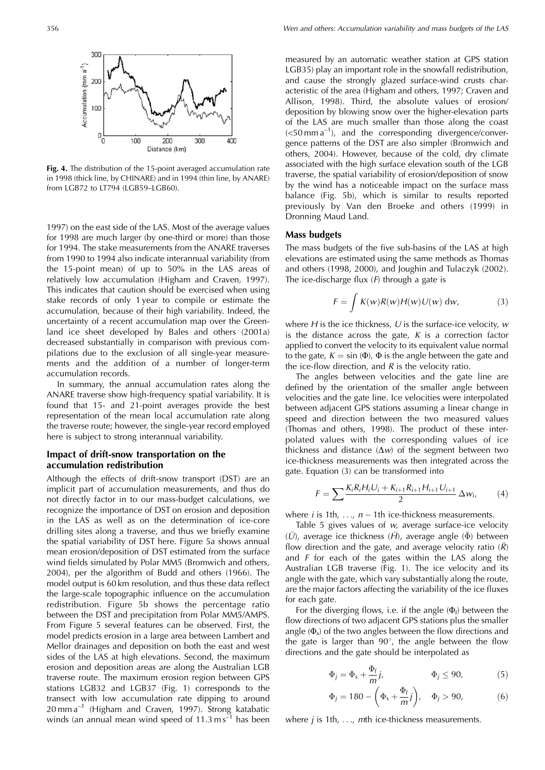

**Fig. 4.** The distribution of the 15-point averaged accumulation rate in 1998 (thick line, by CHINARE) and in 1994 (thin line, by ANARE) from LGB72 to LT794 (LGB59–LGB60).

1997) on the east side of the LAS. Most of the average values for 1998 are much larger (by one-third or more) than those for 1994. The stake measurements from the ANARE traverses from 1990 to 1994 also indicate interannual variability (from the 15-point mean) of up to 50% in the LAS areas of relatively low accumulation (Higham and Craven, 1997). This indicates that caution should be exercised when using stake records of only 1 year to compile or estimate the accumulation, because of their high variability. Indeed, the uncertainty of a recent accumulation map over the Greenland ice sheet developed by Bales and others (2001a) decreased substantially in comparison with previous compilations due to the exclusion of all single-year measurements and the addition of a number of longer-term accumulation records.

In summary, the annual accumulation rates along the ANARE traverse show high-frequency spatial variability. It is found that 15- and 21-point averages provide the best representation of the mean local accumulation rate along the traverse route; however, the single-year record employed here is subject to strong interannual variability.

## **Impact of drift-snow transportation on the accumulation redistribution**

Although the effects of drift-snow transport (DST) are an implicit part of accumulation measurements, and thus do not directly factor in to our mass-budget calculations, we recognize the importance of DST on erosion and deposition in the LAS as well as on the determination of ice-core drilling sites along a traverse, and thus we briefly examine the spatial variability of DST here. Figure 5a shows annual mean erosion/deposition of DST estimated from the surface wind fields simulated by Polar MM5 (Bromwich and others, 2004), per the algorithm of Budd and others (1966). The model output is 60 km resolution, and thus these data reflect the large-scale topographic influence on the accumulation redistribution. Figure 5b shows the percentage ratio between the DST and precipitation from Polar MM5/AMPS. From Figure 5 several features can be observed. First, the model predicts erosion in a large area between Lambert and Mellor drainages and deposition on both the east and west sides of the LAS at high elevations. Second, the maximum erosion and deposition areas are along the Australian LGB traverse route. The maximum erosion region between GPS stations LGB32 and LGB37 (Fig. 1) corresponds to the transect with low accumulation rate dipping to around  $20 \text{ mm a}^{-1}$  (Higham and Craven, 1997). Strong katabatic winds (an annual mean wind speed of  $11.3 \text{ ms}^{-1}$  has been measured by an automatic weather station at GPS station LGB35) play an important role in the snowfall redistribution, and cause the strongly glazed surface-wind crusts characteristic of the area (Higham and others, 1997; Craven and Allison, 1998). Third, the absolute values of erosion/ deposition by blowing snow over the higher-elevation parts of the LAS are much smaller than those along the coast  $(<50$  mm a<sup>-1</sup>), and the corresponding divergence/convergence patterns of the DST are also simpler (Bromwich and others, 2004). However, because of the cold, dry climate associated with the high surface elevation south of the LGB traverse, the spatial variability of erosion/deposition of snow by the wind has a noticeable impact on the surface mass balance (Fig. 5b), which is similar to results reported previously by Van den Broeke and others (1999) in Dronning Maud Land.

#### **Mass budgets**

The mass budgets of the five sub-basins of the LAS at high elevations are estimated using the same methods as Thomas and others (1998, 2000), and Joughin and Tulaczyk (2002). The ice-discharge flux  $(F)$  through a gate is

$$
F = \int K(w)R(w)H(w)U(w) dw,
$$
 (3)

where  $H$  is the ice thickness,  $U$  is the surface-ice velocity,  $w$ is the distance across the gate,  $K$  is a correction factor applied to convert the velocity to its equivalent value normal to the gate,  $K = \sin (\Phi)$ ,  $\Phi$  is the angle between the gate and the ice-flow direction, and  $R$  is the velocity ratio.

The angles between velocities and the gate line are defined by the orientation of the smaller angle between velocities and the gate line. Ice velocities were interpolated between adjacent GPS stations assuming a linear change in speed and direction between the two measured values (Thomas and others, 1998). The product of these interpolated values with the corresponding values of ice thickness and distance  $(\Delta w)$  of the segment between two ice-thickness measurements was then integrated across the gate. Equation (3) can be transformed into

$$
F = \sum \frac{K_i R_i H_i U_i + K_{i+1} R_{i+1} H_{i+1} U_{i+1}}{2} \Delta w_i, \qquad (4)
$$

where *i* is 1th, ...,  $n-1$ th ice-thickness measurements.

Table 5 gives values of w, average surface-ice velocity  $(\bar{U})$ , average ice thickness  $(\bar{H})$ , average angle  $(\bar{\Phi})$  between flow direction and the gate, and average velocity ratio  $(\overline{R})$ and  $F$  for each of the gates within the LAS along the Australian LGB traverse (Fig. 1). The ice velocity and its angle with the gate, which vary substantially along the route, are the major factors affecting the variability of the ice fluxes for each gate.

For the diverging flows, i.e. if the angle  $(\Phi_f)$  between the flow directions of two adjacent GPS stations plus the smaller angle  $(\Phi_s)$  of the two angles between the flow directions and the gate is larger than  $90^{\circ}$ , the angle between the flow directions and the gate should be interpolated as

$$
\Phi_j = \Phi_s + \frac{\Phi_f}{m} j, \qquad \Phi_j \le 90, \qquad (5)
$$

$$
\Phi_j = 180 - \left(\Phi_s + \frac{\Phi_f}{m}j\right), \quad \Phi_j > 90,\tag{6}
$$

where  $j$  is 1th,  $\dots$ ,  $m$ th ice-thickness measurements.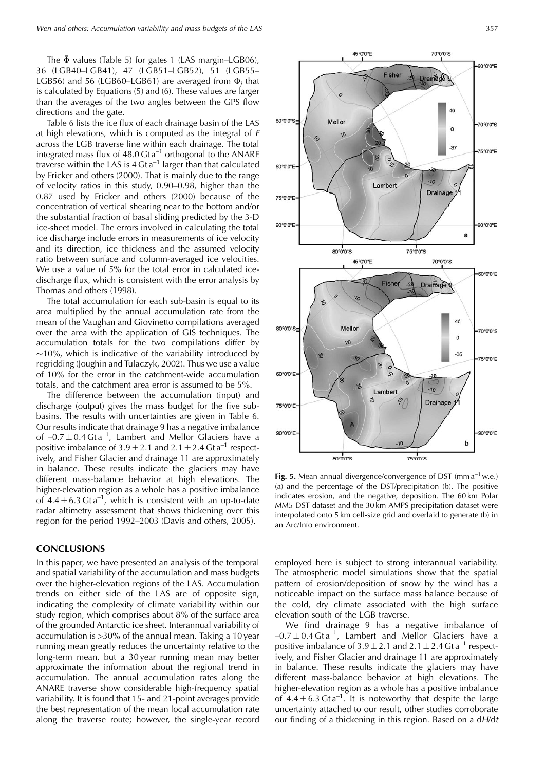The  $\bar{\Phi}$  values (Table 5) for gates 1 (LAS margin–LGB06), 36 (LGB40–LGB41), 47 (LGB51–LGB52), 51 (LGB55– LGB56) and 56 (LGB60–LGB61) are averaged from  $\Phi_i$  that is calculated by Equations (5) and (6). These values are larger than the averages of the two angles between the GPS flow directions and the gate.

Table 6 lists the ice flux of each drainage basin of the LAS at high elevations, which is computed as the integral of F across the LGB traverse line within each drainage. The total integrated mass flux of  $48.0$  Gt a<sup>-1</sup> orthogonal to the ANARE traverse within the LAS is  $4 \text{ G}t \, \text{a}^{-1}$  larger than that calculated by Fricker and others (2000). That is mainly due to the range of velocity ratios in this study, 0.90–0.98, higher than the 0.87 used by Fricker and others (2000) because of the concentration of vertical shearing near to the bottom and/or the substantial fraction of basal sliding predicted by the 3-D ice-sheet model. The errors involved in calculating the total ice discharge include errors in measurements of ice velocity and its direction, ice thickness and the assumed velocity ratio between surface and column-averaged ice velocities. We use a value of 5% for the total error in calculated icedischarge flux, which is consistent with the error analysis by Thomas and others (1998).

The total accumulation for each sub-basin is equal to its area multiplied by the annual accumulation rate from the mean of the Vaughan and Giovinetto compilations averaged over the area with the application of GIS techniques. The accumulation totals for the two compilations differ by  $\sim$ 10%, which is indicative of the variability introduced by regridding (Joughin and Tulaczyk, 2002). Thus we use a value of 10% for the error in the catchment-wide accumulation totals, and the catchment area error is assumed to be 5%.

The difference between the accumulation (input) and discharge (output) gives the mass budget for the five subbasins. The results with uncertainties are given in Table 6. Our results indicate that drainage 9 has a negative imbalance of  $-0.7 \pm 0.4$  Gta<sup>-1</sup>, Lambert and Mellor Glaciers have a positive imbalance of  $3.9 \pm 2.1$  and  $2.1 \pm 2.4$  Gt a<sup>-1</sup> respectively, and Fisher Glacier and drainage 11 are approximately in balance. These results indicate the glaciers may have different mass-balance behavior at high elevations. The higher-elevation region as a whole has a positive imbalance of  $4.4 \pm 6.3$  Gt a<sup>-1</sup>, which is consistent with an up-to-date radar altimetry assessment that shows thickening over this region for the period 1992–2003 (Davis and others, 2005).

## **CONCLUSIONS**

In this paper, we have presented an analysis of the temporal and spatial variability of the accumulation and mass budgets over the higher-elevation regions of the LAS. Accumulation trends on either side of the LAS are of opposite sign, indicating the complexity of climate variability within our study region, which comprises about 8% of the surface area of the grounded Antarctic ice sheet. Interannual variability of accumulation is >30% of the annual mean. Taking a 10 year running mean greatly reduces the uncertainty relative to the long-term mean, but a 30 year running mean may better approximate the information about the regional trend in accumulation. The annual accumulation rates along the ANARE traverse show considerable high-frequency spatial variability. It is found that 15- and 21-point averages provide the best representation of the mean local accumulation rate along the traverse route; however, the single-year record



**Fig. 5.** Mean annual divergence/convergence of DST (mm a<sup>-1</sup> w.e.) (a) and the percentage of the DST/precipitation (b). The positive indicates erosion, and the negative, deposition. The 60 km Polar MM5 DST dataset and the 30 km AMPS precipitation dataset were interpolated onto 5 km cell-size grid and overlaid to generate (b) in an Arc/Info environment.

employed here is subject to strong interannual variability. The atmospheric model simulations show that the spatial pattern of erosion/deposition of snow by the wind has a noticeable impact on the surface mass balance because of the cold, dry climate associated with the high surface elevation south of the LGB traverse.

We find drainage 9 has a negative imbalance of  $-0.7 \pm 0.4$  Gt a<sup>-1</sup>, Lambert and Mellor Glaciers have a positive imbalance of  $3.9 \pm 2.1$  and  $2.1 \pm 2.4$  Gt a<sup>-1</sup> respectively, and Fisher Glacier and drainage 11 are approximately in balance. These results indicate the glaciers may have different mass-balance behavior at high elevations. The higher-elevation region as a whole has a positive imbalance of  $4.4 \pm 6.3$  Gt a<sup>-1</sup>. It is noteworthy that despite the large uncertainty attached to our result, other studies corroborate our finding of a thickening in this region. Based on a dH/dt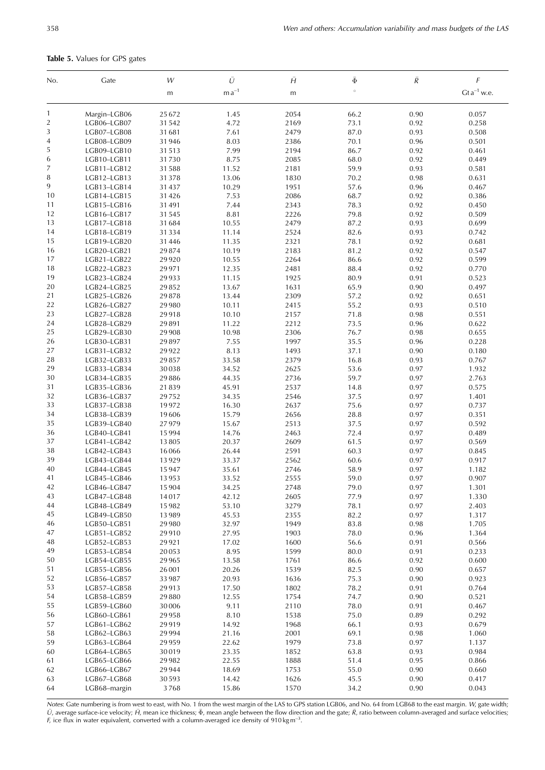| Table 5. Values for GPS gates |
|-------------------------------|
|-------------------------------|

| No.            | Gate                       | W              | Ū              | Ĥ            | $\bar{\Phi}$ | $\bar{R}$    | F                |
|----------------|----------------------------|----------------|----------------|--------------|--------------|--------------|------------------|
|                |                            | m              | $m a^{-1}$     | m            | $\circ$      |              | $Gt a^{-1}$ w.e. |
| 1              | Margin-LGB06               | 25672          | 1.45           | 2054         | 66.2         | 0.90         | 0.057            |
| $\overline{2}$ | LGB06-LGB07                | 31542          | 4.72           | 2169         | 73.1         | 0.92         | 0.258            |
| $\overline{3}$ | LGB07-LGB08                | 31681          | 7.61           | 2479         | 87.0         | 0.93         | 0.508            |
| $\overline{4}$ | LGB08-LGB09                | 31946          | 8.03           | 2386         | 70.1         | 0.96         | 0.501            |
| 5              | LGB09-LGB10                | 31513          | 7.99           | 2194         | 86.7         | 0.92         | 0.461            |
| 6              | LGB10-LGB11                | 31730          | 8.75           | 2085         | 68.0         | 0.92         | 0.449            |
| 7              | LGB11-LGB12                | 31588          | 11.52          | 2181         | 59.9         | 0.93         | 0.581            |
| 8              | LGB12-LGB13                | 31378          | 13.06          | 1830         | 70.2         | 0.98         | 0.631            |
| 9              | LGB13-LGB14                | 31437          | 10.29          | 1951         | 57.6         | 0.96         | 0.467            |
| 10             | LGB14-LGB15                | 31426          | 7.53           | 2086         | 68.7         | 0.92         | 0.386            |
| 11             | LGB15-LGB16                | 31491          | 7.44           | 2343         | 78.3         | 0.92         | 0.450            |
| 12             | LGB16-LGB17                | 31545          | 8.81           | 2226         | 79.8         | 0.92         | 0.509            |
| 13             | LGB17-LGB18                | 31684          | 10.55          | 2479         | 87.2         | 0.93         | 0.699            |
| 14             | LGB18-LGB19                | 31334          | 11.14          | 2524         | 82.6         | 0.93         | 0.742            |
| 15             | LGB19-LGB20                | 31446          | 11.35          | 2321         | 78.1         | 0.92         | 0.681            |
| 16             | LGB20-LGB21                | 29874          | 10.19          | 2183         | 81.2         | 0.92         | 0.547            |
| 17             | LGB21-LGB22                | 29920          | 10.55          | 2264         | 86.6         | 0.92         | 0.599            |
| 18             | LGB22-LGB23                | 29971          | 12.35          | 2481         | 88.4         | 0.92         | 0.770            |
| 19             | LGB23-LGB24                | 29933          | 11.15          | 1925         | 80.9         | 0.91         | 0.523            |
| 20             | LGB24-LGB25                | 29852          | 13.67          | 1631         | 65.9         | 0.90         | 0.497            |
| 21             | LGB25-LGB26                | 29878          | 13.44          | 2309         | 57.2         | 0.92         | 0.651            |
| 22             | LGB26-LGB27                | 29980          | 10.11          | 2415         | 55.2         | 0.93         | 0.510            |
| 23             | LGB27-LGB28                | 29918          | 10.10          | 2157         | 71.8         | 0.98         | 0.551            |
| 24             | LGB28-LGB29                | 29891          | 11.22          | 2212         | 73.5         | 0.96         | 0.622            |
| 25             | LGB29-LGB30                | 29908          | 10.98          | 2306         | 76.7         | 0.98         | 0.655            |
| 26             | LGB30-LGB31                | 29897          | 7.55           | 1997         | 35.5         | 0.96         | 0.228            |
| 27             | LGB31-LGB32                | 29922          | 8.13           | 1493         | 37.1         | 0.90         | 0.180            |
| 28             | LGB32-LGB33                | 29857          | 33.58          | 2379         | 16.8         | 0.93         | 0.767            |
| 29             | LGB33-LGB34                | 30038          | 34.52          | 2625         | 53.6         | 0.97         | 1.932            |
| 30             | LGB34-LGB35                | 29886          | 44.35          | 2736         | 59.7         | 0.97         | 2.763            |
| 31             | LGB35-LGB36                | 21839          | 45.91          | 2537         | 14.8         | 0.97         | 0.575            |
| 32             | LGB36-LGB37                | 29752          | 34.35          | 2546         | 37.5         | 0.97         | 1.401            |
| 33             | LGB37-LGB38                | 19972          | 16.30          | 2637         | 75.6         | 0.97         | 0.737            |
| 34             | LGB38-LGB39                | 19606          | 15.79          | 2656         | 28.8         | 0.97         | 0.351            |
| 35             | LGB39-LGB40                | 27979          | 15.67          | 2513         | 37.5         | 0.97         | 0.592            |
| 36             | LGB40-LGB41                | 15994          | 14.76          | 2463         | 72.4         | 0.97         | 0.489            |
| 37             | LGB41-LGB42                | 13805          | 20.37          | 2609         | 61.5         | 0.97         | 0.569            |
| 38             | LGB42-LGB43                | 16066          | 26.44          | 2591         | 60.3         | 0.97         | 0.845            |
| 39             | LGB43-LGB44                | 13929          | 33.37          | 2562         | 60.6         | 0.97         | 0.917            |
| 40             | LGB44-LGB45                | 15947          | 35.61          | 2746         | 58.9         | 0.97         | 1.182            |
| 41             | LGB45–LGB46                | 13953          | 33.52          | 2555         | 59.0         | 0.97         | 0.907            |
| 42             | LGB46-LGB47                | 15904          | 34.25          | 2748         | 79.0         | 0.97         | 1.301            |
| 43             | LGB47-LGB48                | 14017          | 42.12          | 2605         | 77.9         | 0.97         | 1.330            |
| 44             | LGB48-LGB49                | 15982          | 53.10          | 3279         | 78.1         | 0.97         | 2.403            |
| 45             | LGB49-LGB50                | 13989          | 45.53          | 2355         | 82.2         | 0.97         | 1.317            |
| 46             | LGB50-LGB51                | 29980          | 32.97          | 1949         | 83.8         | 0.98         | 1.705            |
| 47             | LGB51-LGB52                | 29910          | 27.95          | 1903         | 78.0         | 0.96         | 1.364            |
| 48             | LGB52-LGB53                | 29921          | 17.02          | 1600         | 56.6         | 0.91         | 0.566            |
| 49             | LGB53-LGB54                | 20053          | 8.95           | 1599         | 80.0         | 0.91         | 0.233            |
| 50<br>51       | LGB54-LGB55<br>LGB55-LGB56 | 29965          | 13.58          | 1761         | 86.6         | 0.92         | 0.600            |
| 52             |                            | 26001<br>33987 | 20.26<br>20.93 | 1539<br>1636 | 82.5<br>75.3 | 0.90<br>0.90 | 0.657<br>0.923   |
| 53             | LGB56-LGB57                |                |                |              |              |              |                  |
| 54             | LGB57-LGB58                | 29913          | 17.50          | 1802         | 78.2         | 0.91         | 0.764            |
| 55             | LGB58-LGB59                | 29880          | 12.55<br>9.11  | 1754<br>2110 | 74.7<br>78.0 | 0.90<br>0.91 | 0.521<br>0.467   |
|                | LGB59-LGB60                | 30006          |                |              |              |              |                  |
| 56             | LGB60-LGB61                | 29958          | 8.10           | 1538         | 75.0         | 0.89         | 0.292            |
| 57             | LGB61-LGB62                | 29919          | 14.92          | 1968         | 66.1         | 0.93         | 0.679            |
| 58<br>59       | LGB62-LGB63                | 29994<br>29959 | 21.16          | 2001<br>1979 | 69.1<br>73.8 | 0.98         | 1.060            |
|                | LGB63-LGB64                | 30019          | 22.62<br>23.35 |              | 63.8         | 0.97<br>0.93 | 1.137<br>0.984   |
| 60             | LGB64-LGB65                | 29982          | 22.55          | 1852<br>1888 | 51.4         | 0.95         | 0.866            |
| 61<br>62       | LGB65-LGB66<br>LGB66-LGB67 | 29944          | 18.69          | 1753         | 55.0         | 0.90         | 0.660            |
| 63             | LGB67-LGB68                | 30593          | 14.42          | 1626         | 45.5         | 0.90         | 0.417            |
| 64             | LGB68-margin               | 3768           | 15.86          | 1570         | 34.2         | 0.90         | 0.043            |
|                |                            |                |                |              |              |              |                  |

Notes: Gate numbering is from west to east, with No. 1 from the west margin of the LAS to GPS station LGB06, and No. 64 from LGB68 to the east margin. W, gate width;  $U$ , average surface-ice velocity;  $H$ , mean ice thickness;  $\bar{\Phi}$ , mean angle between the flow direction and the gate;  $\bar{R}$ , ratio between column-averaged and surface velocities; F, ice flux in water equivalent, converted with a column-averaged ice density of 910 kg m<sup>-3</sup>.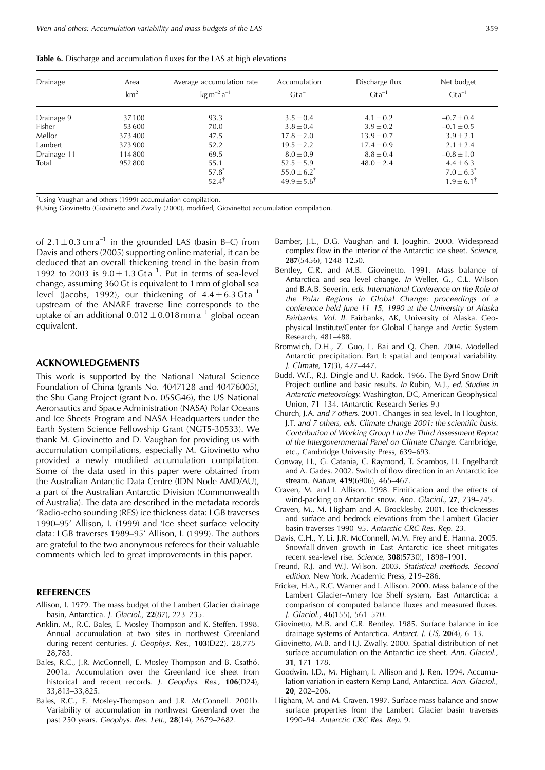| Drainage    | Area<br>km <sup>2</sup> | Average accumulation rate<br>$\text{kg m}^{-2} \text{a}^{-1}$ | Accumulation<br>$Gt a^{-1}$                                       | Discharge flux<br>$Gta^{-1}$ | Net budget<br>$Gta^{-1}$                                    |
|-------------|-------------------------|---------------------------------------------------------------|-------------------------------------------------------------------|------------------------------|-------------------------------------------------------------|
| Drainage 9  | 37100                   | 93.3                                                          | $3.5 \pm 0.4$                                                     | $4.1 \pm 0.2$                | $-0.7 \pm 0.4$                                              |
| Fisher      | 53 600                  | 70.0                                                          | $3.8 \pm 0.4$                                                     | $3.9 \pm 0.2$                | $-0.1 \pm 0.5$                                              |
| Mellor      | 373400                  | 47.5                                                          | $17.8 \pm 2.0$                                                    | $13.9 \pm 0.7$               | $3.9 \pm 2.1$                                               |
| Lambert     | 373900                  | 52.2                                                          | $19.5 \pm 2.2$                                                    | $17.4 \pm 0.9$               | $2.1 \pm 2.4$                                               |
| Drainage 11 | 114800                  | 69.5                                                          | $8.0 \pm 0.9$                                                     | $8.8 \pm 0.4$                | $-0.8 \pm 1.0$                                              |
| Total       | 952800                  | 55.1<br>$57.8$ <sup>*</sup><br>$52.4^{\dagger}$               | $52.5 \pm 5.9$<br>$55.0 \pm 6.2^*$<br>$49.9 \pm 5.6$ <sup>†</sup> | $48.0 \pm 2.4$               | $4.4 \pm 6.3$<br>$7.0 \pm 6.3^*$<br>$1.9 \pm 6.1^{\dagger}$ |

**Table 6.** Discharge and accumulation fluxes for the LAS at high elevations

\* Using Vaughan and others (1999) accumulation compilation.

{Using Giovinetto (Giovinetto and Zwally (2000), modified, Giovinetto) accumulation compilation.

of  $2.1 \pm 0.3$  cm a<sup>-1</sup> in the grounded LAS (basin B-C) from Davis and others (2005) supporting online material, it can be deduced that an overall thickening trend in the basin from 1992 to 2003 is  $9.0 \pm 1.3$  Gta<sup>-1</sup>. Put in terms of sea-level change, assuming 360 Gt is equivalent to 1 mm of global sea level (Jacobs, 1992), our thickening of  $4.4 \pm 6.3$  Gt a<sup>-1</sup> upstream of the ANARE traverse line corresponds to the uptake of an additional  $0.012 \pm 0.018$  mm a<sup>-1</sup> global ocean equivalent.

#### **ACKNOWLEDGEMENTS**

This work is supported by the National Natural Science Foundation of China (grants No. 4047128 and 40476005), the Shu Gang Project (grant No. 05SG46), the US National Aeronautics and Space Administration (NASA) Polar Oceans and Ice Sheets Program and NASA Headquarters under the Earth System Science Fellowship Grant (NGT5-30533). We thank M. Giovinetto and D. Vaughan for providing us with accumulation compilations, especially M. Giovinetto who provided a newly modified accumulation compilation. Some of the data used in this paper were obtained from the Australian Antarctic Data Centre (IDN Node AMD/AU), a part of the Australian Antarctic Division (Commonwealth of Australia). The data are described in the metadata records 'Radio-echo sounding (RES) ice thickness data: LGB traverses 1990–95' Allison, I. (1999) and 'Ice sheet surface velocity data: LGB traverses 1989–95' Allison, I. (1999). The authors are grateful to the two anonymous referees for their valuable comments which led to great improvements in this paper.

#### **REFERENCES**

- Allison, I. 1979. The mass budget of the Lambert Glacier drainage basin, Antarctica. J. Glaciol., **22**(87), 223–235.
- Anklin, M., R.C. Bales, E. Mosley-Thompson and K. Steffen. 1998. Annual accumulation at two sites in northwest Greenland during recent centuries. J. Geophys. Res., **103**(D22), 28,775– 28,783.
- Bales, R.C., J.R. McConnell, E. Mosley-Thompson and B. Csathó. 2001a. Accumulation over the Greenland ice sheet from historical and recent records. J. Geophys. Res., **106**(D24), 33,813–33,825.
- Bales, R.C., E. Mosley-Thompson and J.R. McConnell. 2001b. Variability of accumulation in northwest Greenland over the past 250 years. Geophys. Res. Lett., **28**(14), 2679–2682.
- Bamber, J.L., D.G. Vaughan and I. Joughin. 2000. Widespread complex flow in the interior of the Antarctic ice sheet. Science, **287**(5456), 1248–1250.
- Bentley, C.R. and M.B. Giovinetto. 1991. Mass balance of Antarctica and sea level change. In Weller, G., C.L. Wilson and B.A.B. Severin, eds. International Conference on the Role of the Polar Regions in Global Change: proceedings of a conference held June 11–15, 1990 at the University of Alaska Fairbanks. Vol. II. Fairbanks, AK, University of Alaska. Geophysical Institute/Center for Global Change and Arctic System Research, 481–488.
- Bromwich, D.H., Z. Guo, L. Bai and Q. Chen. 2004. Modelled Antarctic precipitation. Part I: spatial and temporal variability. J. Climate, **17**(3), 427–447.
- Budd, W.F., R.J. Dingle and U. Radok. 1966. The Byrd Snow Drift Project: outline and basic results. In Rubin, M.J., ed. Studies in Antarctic meteorology. Washington, DC, American Geophysical Union, 71–134. (Antarctic Research Series 9.)
- Church, J.A. and 7 others. 2001. Changes in sea level. In Houghton, J.T. and 7 others, eds. Climate change 2001: the scientific basis. Contribution of Working Group I to the Third Assessment Report of the Intergovernmental Panel on Climate Change. Cambridge, etc., Cambridge University Press, 639–693.
- Conway, H., G. Catania, C. Raymond, T. Scambos, H. Engelhardt and A. Gades. 2002. Switch of flow direction in an Antarctic ice stream. Nature, **419**(6906), 465–467.
- Craven, M. and I. Allison. 1998. Firnification and the effects of wind-packing on Antarctic snow. Ann. Glaciol., **27**, 239–245.
- Craven, M., M. Higham and A. Brocklesby. 2001. Ice thicknesses and surface and bedrock elevations from the Lambert Glacier basin traverses 1990–95. Antarctic CRC Res. Rep. 23.
- Davis, C.H., Y. Li, J.R. McConnell, M.M. Frey and E. Hanna. 2005. Snowfall-driven growth in East Antarctic ice sheet mitigates recent sea-level rise. Science, **308**(5730), 1898–1901.
- Freund, R.J. and W.J. Wilson. 2003. Statistical methods. Second edition. New York, Academic Press, 219–286.
- Fricker, H.A., R.C. Warner and I. Allison. 2000. Mass balance of the Lambert Glacier–Amery Ice Shelf system, East Antarctica: a comparison of computed balance fluxes and measured fluxes. J. Glaciol., **46**(155), 561–570.
- Giovinetto, M.B. and C.R. Bentley. 1985. Surface balance in ice drainage systems of Antarctica. Antarct. J. US, **20**(4), 6–13.
- Giovinetto, M.B. and H.J. Zwally. 2000. Spatial distribution of net surface accumulation on the Antarctic ice sheet. Ann. Glaciol., **31**, 171–178.
- Goodwin, I.D., M. Higham, I. Allison and J. Ren. 1994. Accumulation variation in eastern Kemp Land, Antarctica. Ann. Glaciol., **20**, 202–206.
- Higham, M. and M. Craven. 1997. Surface mass balance and snow surface properties from the Lambert Glacier basin traverses 1990–94. Antarctic CRC Res. Rep. 9.